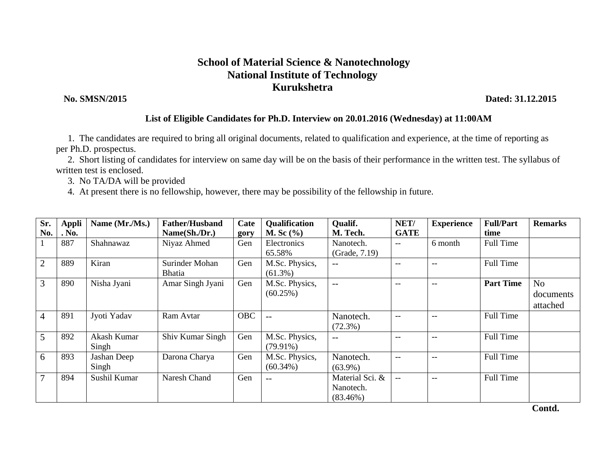## **School of Material Science & Nanotechnology National Institute of Technology Kurukshetra**

 **No. SMSN/2015 Dated: 31.12.2015**

## **List of Eligible Candidates for Ph.D. Interview on 20.01.2016 (Wednesday) at 11:00AM**

 1. The candidates are required to bring all original documents, related to qualification and experience, at the time of reporting as per Ph.D. prospectus.

 2. Short listing of candidates for interview on same day will be on the basis of their performance in the written test. The syllabus of written test is enclosed.

3. No TA/DA will be provided

4. At present there is no fellowship, however, there may be possibility of the fellowship in future.

| Sr.<br>No.     | <b>Appli</b><br>. No. | Name (Mr./Ms.)       | <b>Father/Husband</b><br>Name(Sh./Dr.) | Cate<br>gory | Qualification<br>M. Sc $(\%)$ | Qualif.<br>M. Tech.                         | NET/<br><b>GATE</b> | <b>Experience</b> | <b>Full/Part</b><br>time | <b>Remarks</b>                          |
|----------------|-----------------------|----------------------|----------------------------------------|--------------|-------------------------------|---------------------------------------------|---------------------|-------------------|--------------------------|-----------------------------------------|
|                | 887                   | Shahnawaz            | Niyaz Ahmed                            | Gen          | Electronics<br>65.58%         | Nanotech.<br>(Grade, 7.19)                  | $- -$               | 6 month           | Full Time                |                                         |
| $\overline{2}$ | 889                   | Kiran                | Surinder Mohan<br><b>Bhatia</b>        | Gen          | M.Sc. Physics,<br>$(61.3\%)$  | $-$                                         | $-$                 | $-$               | Full Time                |                                         |
| 3              | 890                   | Nisha Jyani          | Amar Singh Jyani                       | Gen          | M.Sc. Physics,<br>(60.25%)    | $-$                                         | $-$                 | $-$               | <b>Part Time</b>         | N <sub>o</sub><br>documents<br>attached |
| 4              | 891                   | Jyoti Yadav          | Ram Avtar                              | <b>OBC</b>   | $\qquad \qquad -$             | Nanotech.<br>$(72.3\%)$                     | $- -$               | $-$               | Full Time                |                                         |
| 5              | 892                   | Akash Kumar<br>Singh | Shiv Kumar Singh                       | Gen          | M.Sc. Physics,<br>$(79.91\%)$ | $-$                                         | $-$                 | $-$               | Full Time                |                                         |
| 6              | 893                   | Jashan Deep<br>Singh | Darona Charya                          | Gen          | M.Sc. Physics,<br>$(60.34\%)$ | Nanotech.<br>$(63.9\%)$                     | $-$                 | $-$               | Full Time                |                                         |
|                | 894                   | Sushil Kumar         | Naresh Chand                           | Gen          | $- -$                         | Material Sci. &<br>Nanotech.<br>$(83.46\%)$ | $- -$               | $-$               | Full Time                |                                         |

 **Contd.**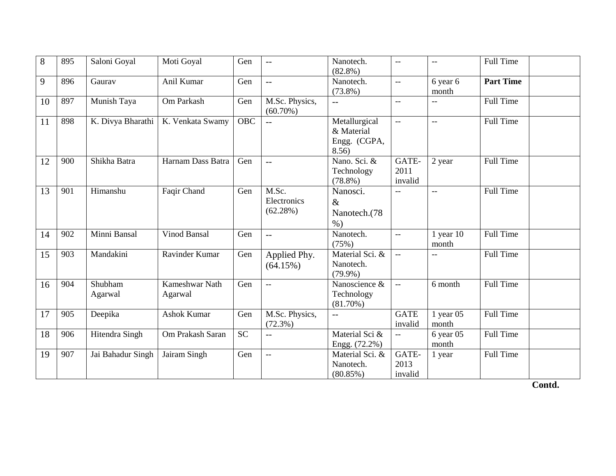| 8  | 895 | Saloni Goyal       | Moti Goyal                | Gen              | $-$                              | Nanotech.<br>$(82.8\%)$                              | $\sim$ $\sim$            | $\overline{\phantom{a}}$ | <b>Full Time</b> |
|----|-----|--------------------|---------------------------|------------------|----------------------------------|------------------------------------------------------|--------------------------|--------------------------|------------------|
| 9  | 896 | Gaurav             | Anil Kumar                | Gen              | $\overline{a}$                   | Nanotech.<br>$(73.8\%)$                              | $\overline{\phantom{a}}$ | 6 year 6<br>month        | <b>Part Time</b> |
| 10 | 897 | Munish Taya        | Om Parkash                | Gen              | M.Sc. Physics,<br>$(60.70\%)$    | $-$                                                  | $\overline{\phantom{m}}$ | $-$                      | <b>Full Time</b> |
| 11 | 898 | K. Divya Bharathi  | K. Venkata Swamy          | $\overline{OBC}$ | $\overline{a}$                   | Metallurgical<br>& Material<br>Engg. (CGPA,<br>8.56) | $--$                     | $\overline{\phantom{a}}$ | <b>Full Time</b> |
| 12 | 900 | Shikha Batra       | Harnam Dass Batra         | Gen              | $\overline{a}$                   | Nano. Sci. &<br>Technology<br>$(78.8\%)$             | GATE-<br>2011<br>invalid | 2 year                   | Full Time        |
| 13 | 901 | Himanshu           | Faqir Chand               | Gen              | M.Sc.<br>Electronics<br>(62.28%) | Nanosci.<br>$\&$<br>Nanotech.(78<br>$\%$ )           | $\overline{\phantom{a}}$ | $\overline{\phantom{a}}$ | <b>Full Time</b> |
| 14 | 902 | Minni Bansal       | Vinod Bansal              | Gen              | $\overline{a}$                   | Nanotech.<br>(75%)                                   | $\overline{\phantom{a}}$ | $1$ year $10$<br>month   | <b>Full Time</b> |
| 15 | 903 | Mandakini          | Ravinder Kumar            | Gen              | Applied Phy.<br>(64.15%)         | Material Sci. &<br>Nanotech.<br>$(79.9\%)$           |                          |                          | <b>Full Time</b> |
| 16 | 904 | Shubham<br>Agarwal | Kameshwar Nath<br>Agarwal | Gen              | $-$                              | Nanoscience &<br>Technology<br>$(81.70\%)$           | $\overline{\phantom{a}}$ | 6 month                  | <b>Full Time</b> |
| 17 | 905 | Deepika            | <b>Ashok Kumar</b>        | Gen              | M.Sc. Physics,<br>$(72.3\%)$     | $-$                                                  | <b>GATE</b><br>invalid   | $1$ year 05<br>month     | Full Time        |
| 18 | 906 | Hitendra Singh     | Om Prakash Saran          | <b>SC</b>        | $-$                              | Material Sci &<br>Engg. (72.2%)                      | $--$                     | $6$ year 05<br>month     | Full Time        |
| 19 | 907 | Jai Bahadur Singh  | Jairam Singh              | Gen              | $\overline{\phantom{a}}$         | Material Sci. &<br>Nanotech.<br>$(80.85\%)$          | GATE-<br>2013<br>invalid | 1 year                   | <b>Full Time</b> |

**Contd.**